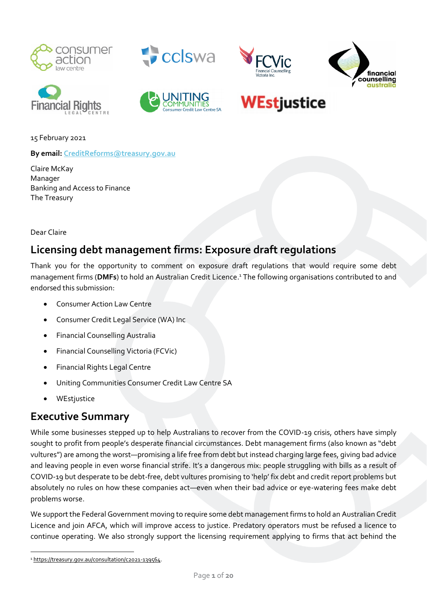





Credit Law Centre SA





# **WEstjustice**

15 February 2021

**By email: [CreditReforms@treasury.gov.au](mailto:CreditReforms@TREASURY.GOV.AU)**

Claire McKay Manager Banking and Access to Finance The Treasury

Dear Claire

# **Licensing debt management firms: Exposure draft regulations**

Thank you for the opportunity to comment on exposure draft regulations that would require some debt management firms (**DMFs**) to hold an Australian Credit Licence. <sup>1</sup> The following organisations contributed to and endorsed this submission:

- Consumer Action Law Centre
- Consumer Credit Legal Service (WA) Inc
- Financial Counselling Australia
- Financial Counselling Victoria (FCVic)
- Financial Rights Legal Centre
- Uniting Communities Consumer Credit Law Centre SA
- **WEstjustice**

### **Executive Summary**

While some businesses stepped up to help Australians to recover from the COVID-19 crisis, others have simply sought to profit from people's desperate financial circumstances. Debt management firms (also known as "debt vultures") are among the worst—promising a life free from debt but instead charging large fees, giving bad advice and leaving people in even worse financial strife. It's a dangerous mix: people struggling with bills as a result of COVID-19 but desperate to be debt-free, debt vultures promising to 'help' fix debt and credit report problems but absolutely no rules on how these companies act—even when their bad advice or eye-watering fees make debt problems worse.

We support the Federal Government moving to require some debt management firms to hold an Australian Credit Licence and join AFCA, which will improve access to justice. Predatory operators must be refused a licence to continue operating. We also strongly support the licensing requirement applying to firms that act behind the

<sup>1</sup> [https://treasury.gov.au/consultation/c2021-139564.](https://treasury.gov.au/consultation/c2021-139564)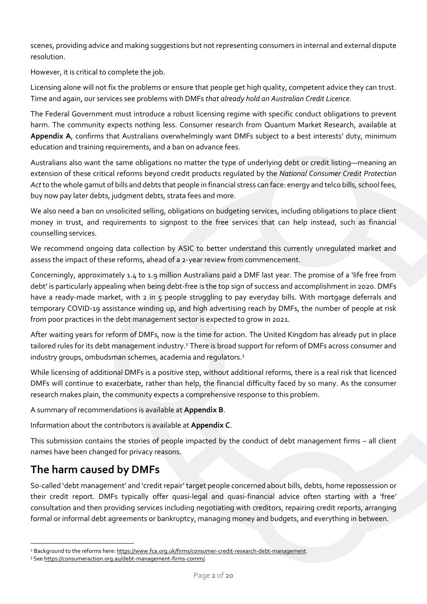scenes, providing advice and making suggestions but not representing consumers in internal and external dispute resolution.

However, it is critical to complete the job.

Licensing alone will not fix the problems or ensure that people get high quality, competent advice they can trust. Time and again, our services see problems with DMFs *that already hold an Australian Credit Licence*.

The Federal Government must introduce a robust licensing regime with specific conduct obligations to prevent harm. The community expects nothing less. Consumer research from Quantum Market Research, available at **Appendix A**, confirms that Australians overwhelmingly want DMFs subject to a best interests' duty, minimum education and training requirements, and a ban on advance fees.

Australians also want the same obligations no matter the type of underlying debt or credit listing—meaning an extension of these critical reforms beyond credit products regulated by the *National Consumer Credit Protection Act*to the whole gamut of bills and debts that people in financial stress can face: energy and telco bills, school fees, buy now pay later debts, judgment debts, strata fees and more.

We also need a ban on unsolicited selling, obligations on budgeting services, including obligations to place client money in trust, and requirements to signpost to the free services that can help instead, such as financial counselling services.

We recommend ongoing data collection by ASIC to better understand this currently unregulated market and assess the impact of these reforms, ahead of a 2-year review from commencement.

Concerningly, approximately 1.4 to 1.9 million Australians paid a DMF last year. The promise of a 'life free from debt' is particularly appealing when being debt-free is the top sign of success and accomplishment in 2020. DMFs have a ready-made market, with 2 in 5 people struggling to pay everyday bills. With mortgage deferrals and temporary COVID-19 assistance winding up, and high advertising reach by DMFs, the number of people at risk from poor practices in the debt management sector is expected to grow in 2021.

After waiting years for reform of DMFs, now is the time for action. The United Kingdom has already put in place tailored rules for its debt management industry.<sup>2</sup> There is broad support for reform of DMFs across consumer and industry groups, ombudsman schemes, academia and regulators.<sup>3</sup>

While licensing of additional DMFs is a positive step, without additional reforms, there is a real risk that licenced DMFs will continue to exacerbate, rather than help, the financial difficulty faced by so many. As the consumer research makes plain, the community expects a comprehensive response to this problem.

A summary of recommendations is available at **Appendix B**.

Information about the contributors is available at **Appendix C**.

This submission contains the stories of people impacted by the conduct of debt management firms – all client names have been changed for privacy reasons.

# **The harm caused by DMFs**

So-called 'debt management' and 'credit repair' target people concerned about bills, debts, home repossession or their credit report. DMFs typically offer quasi-legal and quasi-financial advice often starting with a 'free' consultation and then providing services including negotiating with creditors, repairing credit reports, arranging formal or informal debt agreements or bankruptcy, managing money and budgets, and everything in between.

<sup>2</sup> Background to the reforms here[: https://www.fca.org.uk/firms/consumer-credit-research-debt-management.](https://www.fca.org.uk/firms/consumer-credit-research-debt-management)

<sup>&</sup>lt;sup>3</sup> See https://consumeraction.org.au/debt-management-firms-comm/.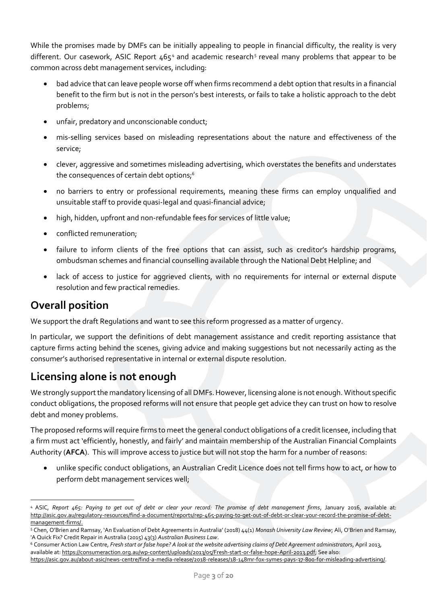While the promises made by DMFs can be initially appealing to people in financial difficulty, the reality is very different. Our casework, ASIC Report 4654 and academic research5 reveal many problems that appear to be common across debt management services, including:

- bad advice that can leave people worse off when firms recommend a debt option that results in a financial benefit to the firm but is not in the person's best interests, or fails to take a holistic approach to the debt problems;
- unfair, predatory and unconscionable conduct;
- mis-selling services based on misleading representations about the nature and effectiveness of the service;
- clever, aggressive and sometimes misleading advertising, which overstates the benefits and understates the consequences of certain debt options;<sup>6</sup>
- no barriers to entry or professional requirements, meaning these firms can employ unqualified and unsuitable staff to provide quasi-legal and quasi-financial advice;
- high, hidden, upfront and non-refundable fees for services of little value;
- conflicted remuneration;
- failure to inform clients of the free options that can assist, such as creditor's hardship programs, ombudsman schemes and financial counselling available through the National Debt Helpline; and
- lack of access to justice for aggrieved clients, with no requirements for internal or external dispute resolution and few practical remedies.

# **Overall position**

We support the draft Regulations and want to see this reform progressed as a matter of urgency.

In particular, we support the definitions of debt management assistance and credit reporting assistance that capture firms acting behind the scenes, giving advice and making suggestions but not necessarily acting as the consumer's authorised representative in internal or external dispute resolution.

# **Licensing alone is not enough**

We strongly support the mandatory licensing of all DMFs. However, licensing alone is not enough. Without specific conduct obligations, the proposed reforms will not ensure that people get advice they can trust on how to resolve debt and money problems.

The proposed reforms will require firms to meet the general conduct obligations of a credit licensee, including that a firm must act 'efficiently, honestly, and fairly' and maintain membership of the Australian Financial Complaints Authority (**AFCA**). This will improve access to justice but will not stop the harm for a number of reasons:

• unlike specific conduct obligations, an Australian Credit Licence does not tell firms how to act, or how to perform debt management services well;

<sup>4</sup> ASIC, *Report 465: Paying to get out of debt or clear your record: The promise of debt management firms*, January 2016, available at: [http://asic.gov.au/regulatory-resources/find-a-document/reports/rep-465-paying-to-get-out-of-debt-or-clear-your-record-the-promise-of-debt](http://asic.gov.au/regulatory-resources/find-a-document/reports/rep-465-paying-to-get-out-of-debt-or-clear-your-record-the-promise-of-debt-management-firms/)[management-firms/.](http://asic.gov.au/regulatory-resources/find-a-document/reports/rep-465-paying-to-get-out-of-debt-or-clear-your-record-the-promise-of-debt-management-firms/)

<sup>5</sup> Chen, O'Brien and Ramsay, 'An Evaluation of Debt Agreements in Australia' (2018) 44(1) *Monash University Law Review*; Ali, O'Brien and Ramsay, 'A Quick Fix? Credit Repair in Australia (2015) 43(3) *Australian Business Law*.

<sup>6</sup> Consumer Action Law Centre, *Fresh start or false hope? A look at the website advertising claims of Debt Agreement administrators*, April 2013, available at[: https://consumeraction.org.au/wp-content/uploads/2013/05/Fresh-start-or-false-hope-April-2013.pdf;](https://consumeraction.org.au/wp-content/uploads/2013/05/Fresh-start-or-false-hope-April-2013.pdf) See also:

[https://asic.gov.au/about-asic/news-centre/find-a-media-release/2018-releases/18-148mr-fox-symes-pays-37-800-for-misleading-advertising/.](https://asic.gov.au/about-asic/news-centre/find-a-media-release/2018-releases/18-148mr-fox-symes-pays-37-800-for-misleading-advertising/)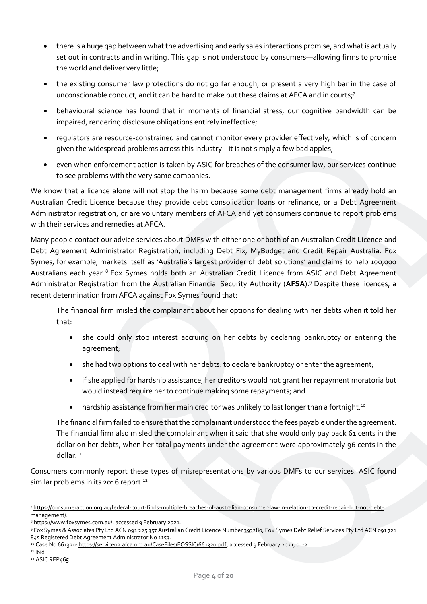- there is a huge gap between what the advertising and early sales interactions promise, and what is actually set out in contracts and in writing. This gap is not understood by consumers—allowing firms to promise the world and deliver very little;
- the existing consumer law protections do not go far enough, or present a very high bar in the case of unconscionable conduct, and it can be hard to make out these claims at AFCA and in courts;<sup>7</sup>
- behavioural science has found that in moments of financial stress, our cognitive bandwidth can be impaired, rendering disclosure obligations entirely ineffective;
- regulators are resource-constrained and cannot monitor every provider effectively, which is of concern given the widespread problems across this industry—it is not simply a few bad apples;
- even when enforcement action is taken by ASIC for breaches of the consumer law, our services continue to see problems with the very same companies.

We know that a licence alone will not stop the harm because some debt management firms already hold an Australian Credit Licence because they provide debt consolidation loans or refinance, or a Debt Agreement Administrator registration, or are voluntary members of AFCA and yet consumers continue to report problems with their services and remedies at AFCA.

Many people contact our advice services about DMFs with either one or both of an Australian Credit Licence and Debt Agreement Administrator Registration, including Debt Fix, MyBudget and Credit Repair Australia. Fox Symes, for example, markets itself as 'Australia's largest provider of debt solutions' and claims to help 100,000 Australians each year. <sup>8</sup> Fox Symes holds both an Australian Credit Licence from ASIC and Debt Agreement Administrator Registration from the Australian Financial Security Authority (**AFSA**). <sup>9</sup> Despite these licences, a recent determination from AFCA against Fox Symes found that:

The financial firm misled the complainant about her options for dealing with her debts when it told her that:

- she could only stop interest accruing on her debts by declaring bankruptcy or entering the agreement;
- she had two options to deal with her debts: to declare bankruptcy or enter the agreement;
- if she applied for hardship assistance, her creditors would not grant her repayment moratoria but would instead require her to continue making some repayments; and
- hardship assistance from her main creditor was unlikely to last longer than a fortnight.<sup>10</sup>

The financial firm failed to ensure that the complainant understood the fees payable under the agreement. The financial firm also misled the complainant when it said that she would only pay back 61 cents in the dollar on her debts, when her total payments under the agreement were approximately 96 cents in the dollar.<sup>11</sup>

Consumers commonly report these types of misrepresentations by various DMFs to our services. ASIC found similar problems in its 2016 report.<sup>12</sup>

<sup>7</sup> [https://consumeraction.org.au/federal-court-finds-multiple-breaches-of-australian-consumer-law-in-relation-to-credit-repair-but-not-debt](https://consumeraction.org.au/federal-court-finds-multiple-breaches-of-australian-consumer-law-in-relation-to-credit-repair-but-not-debt-management/)[management/.](https://consumeraction.org.au/federal-court-finds-multiple-breaches-of-australian-consumer-law-in-relation-to-credit-repair-but-not-debt-management/)

<sup>8</sup> [https://www.foxsymes.com.au/,](https://www.foxsymes.com.au/) accessed 9 February 2021.

<sup>9</sup> Fox Symes & Associates Pty Ltd ACN 091 225 357 Australian Credit Licence Number 393280; Fox Symes Debt Relief Services Pty Ltd ACN 091 721 845 Registered Debt Agreement Administrator No 1153.

<sup>1</sup>º Case No 661320: https://serviceo2.afca.org.au/CaseFiles/FOSSIC/661320.pdf, accessed 9 February 2021, p1-2.

<sup>11</sup> Ibid

<sup>12</sup> ASIC REP465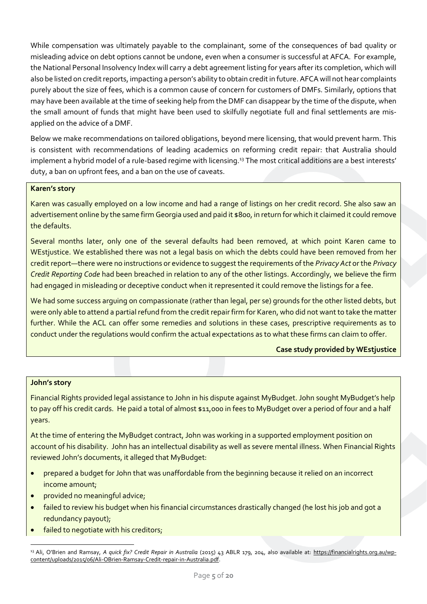While compensation was ultimately payable to the complainant, some of the consequences of bad quality or misleading advice on debt options cannot be undone, even when a consumer is successful at AFCA. For example, the National Personal Insolvency Index will carry a debt agreement listing for years after its completion, which will also be listed on credit reports, impacting a person's ability to obtain credit in future. AFCA will not hear complaints purely about the size of fees, which is a common cause of concern for customers of DMFs. Similarly, options that may have been available at the time of seeking help from the DMF can disappear by the time of the dispute, when the small amount of funds that might have been used to skilfully negotiate full and final settlements are misapplied on the advice of a DMF.

Below we make recommendations on tailored obligations, beyond mere licensing, that would prevent harm. This is consistent with recommendations of leading academics on reforming credit repair: that Australia should implement a hybrid model of a rule-based regime with licensing.<sup>13</sup> The most critical additions are a best interests' duty, a ban on upfront fees, and a ban on the use of caveats.

#### **Karen's story**

Karen was casually employed on a low income and had a range of listings on her credit record. She also saw an advertisement online by the same firm Georgia used and paid it \$800, in return for which it claimed it could remove the defaults.

Several months later, only one of the several defaults had been removed, at which point Karen came to WEstjustice. We established there was not a legal basis on which the debts could have been removed from her credit report—there were no instructions or evidence to suggest the requirements of the *Privacy Act* or the *Privacy Credit Reporting Code* had been breached in relation to any of the other listings. Accordingly, we believe the firm had engaged in misleading or deceptive conduct when it represented it could remove the listings for a fee.

We had some success arguing on compassionate (rather than legal, per se) grounds for the other listed debts, but were only able to attend a partial refund from the credit repair firm for Karen, who did not want to take the matter further. While the ACL can offer some remedies and solutions in these cases, prescriptive requirements as to conduct under the regulations would confirm the actual expectations as to what these firms can claim to offer.

#### **Case study provided by WEstjustice**

#### **John's story**

Financial Rights provided legal assistance to John in his dispute against MyBudget. John sought MyBudget's help to pay off his credit cards. He paid a total of almost \$11,000 in fees to MyBudget over a period of four and a half years.

At the time of entering the MyBudget contract, John was working in a supported employment position on account of his disability. John has an intellectual disability as well as severe mental illness. When Financial Rights reviewed John's documents, it alleged that MyBudget:

- prepared a budget for John that was unaffordable from the beginning because it relied on an incorrect income amount;
- provided no meaningful advice;
- failed to review his budget when his financial circumstances drastically changed (he lost his job and got a redundancy payout);
- failed to negotiate with his creditors;

<sup>13</sup> Ali, O'Brien and Ramsay, *A quick fix? Credit Repair in Australia* (2015) 43 ABLR 179, 204, also available at: [https://financialrights.org.au/wp](https://financialrights.org.au/wp-content/uploads/2015/06/Ali-OBrien-Ramsay-Credit-repair-in-Australia.pdf)[content/uploads/2015/06/Ali-OBrien-Ramsay-Credit-repair-in-Australia.pdf.](https://financialrights.org.au/wp-content/uploads/2015/06/Ali-OBrien-Ramsay-Credit-repair-in-Australia.pdf)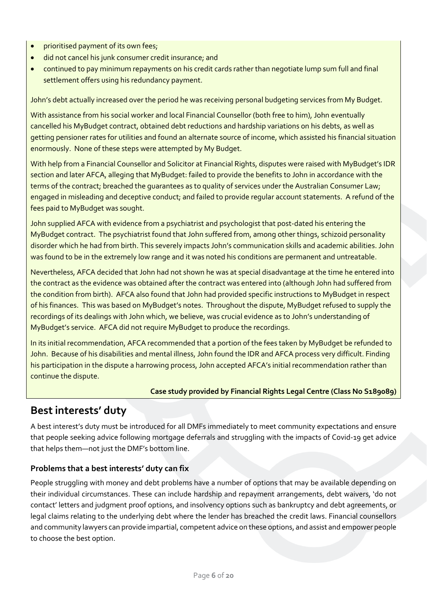- prioritised payment of its own fees;
- did not cancel his junk consumer credit insurance; and
- continued to pay minimum repayments on his credit cards rather than negotiate lump sum full and final settlement offers using his redundancy payment.

John's debt actually increased over the period he was receiving personal budgeting services from My Budget.

With assistance from his social worker and local Financial Counsellor (both free to him), John eventually cancelled his MyBudget contract, obtained debt reductions and hardship variations on his debts, as well as getting pensioner rates for utilities and found an alternate source of income, which assisted his financial situation enormously. None of these steps were attempted by My Budget.

With help from a Financial Counsellor and Solicitor at Financial Rights, disputes were raised with MyBudget's IDR section and later AFCA, alleging that MyBudget: failed to provide the benefits to John in accordance with the terms of the contract; breached the quarantees as to quality of services under the Australian Consumer Law; engaged in misleading and deceptive conduct; and failed to provide regular account statements. A refund of the fees paid to MyBudget was sought.

John supplied AFCA with evidence from a psychiatrist and psychologist that post-dated his entering the MyBudget contract. The psychiatrist found that John suffered from, among other things, schizoid personality disorder which he had from birth. This severely impacts John's communication skills and academic abilities. John was found to be in the extremely low range and it was noted his conditions are permanent and untreatable.

Nevertheless, AFCA decided that John had not shown he was at special disadvantage at the time he entered into the contract as the evidence was obtained after the contract was entered into (although John had suffered from the condition from birth). AFCA also found that John had provided specific instructions to MyBudget in respect of his finances. This was based on MyBudget's notes. Throughout the dispute, MyBudget refused to supply the recordings of its dealings with John which, we believe, was crucial evidence as to John's understanding of MyBudget's service. AFCA did not require MyBudget to produce the recordings.

In its initial recommendation, AFCA recommended that a portion of the fees taken by MyBudget be refunded to John. Because of his disabilities and mental illness, John found the IDR and AFCA process very difficult. Finding his participation in the dispute a harrowing process, John accepted AFCA's initial recommendation rather than continue the dispute.

#### **Case study provided by Financial Rights Legal Centre (Class No S189089)**

### **Best interests' duty**

A best interest's duty must be introduced for all DMFs immediately to meet community expectations and ensure that people seeking advice following mortgage deferrals and struggling with the impacts of Covid-19 get advice that helps them—not just the DMF's bottom line.

#### **Problems that a best interests' duty can fix**

People struggling with money and debt problems have a number of options that may be available depending on their individual circumstances. These can include hardship and repayment arrangements, debt waivers, 'do not contact' letters and judgment proof options, and insolvency options such as bankruptcy and debt agreements, or legal claims relating to the underlying debt where the lender has breached the credit laws. Financial counsellors and community lawyers can provide impartial, competent advice on these options, and assist and empower people to choose the best option.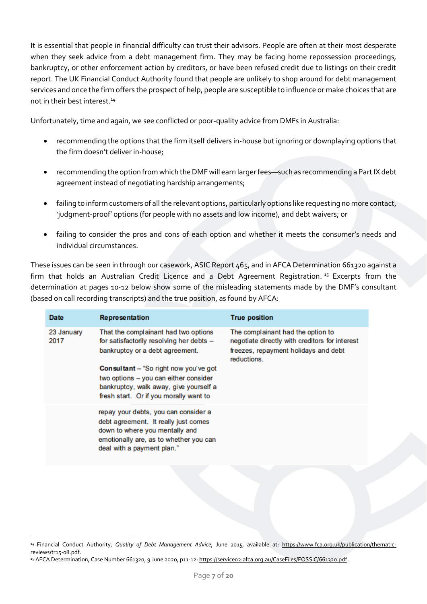It is essential that people in financial difficulty can trust their advisors. People are often at their most desperate when they seek advice from a debt management firm. They may be facing home repossession proceedings, bankruptcy, or other enforcement action by creditors, or have been refused credit due to listings on their credit report. The UK Financial Conduct Authority found that people are unlikely to shop around for debt management services and once the firm offers the prospect of help, people are susceptible to influence or make choices that are not in their best interest.<sup>14</sup>

Unfortunately, time and again, we see conflicted or poor-quality advice from DMFs in Australia:

- recommending the options that the firm itself delivers in-house but ignoring or downplaying options that the firm doesn't deliver in-house;
- recommending the option from which the DMF will earn larger fees—such as recommending a Part IX debt agreement instead of negotiating hardship arrangements;
- failing to inform customers of all the relevant options, particularly options like requesting no more contact, 'judgment-proof' options (for people with no assets and low income), and debt waivers; or
- failing to consider the pros and cons of each option and whether it meets the consumer's needs and individual circumstances.

These issues can be seen in through our casework, ASIC Report 465, and in AFCA Determination 661320 against a firm that holds an Australian Credit Licence and a Debt Agreement Registration. <sup>15</sup> Excerpts from the determination at pages 10-12 below show some of the misleading statements made by the DMF's consultant (based on call recording transcripts) and the true position, as found by AFCA:

| <b>Date</b>        | <b>Representation</b>                                                                                                                                                                                                                                                                            | <b>True position</b>                                                                                                                       |
|--------------------|--------------------------------------------------------------------------------------------------------------------------------------------------------------------------------------------------------------------------------------------------------------------------------------------------|--------------------------------------------------------------------------------------------------------------------------------------------|
| 23 January<br>2017 | That the complainant had two options<br>for satisfactorily resolving her debts -<br>bankruptcy or a debt agreement.<br><b>Consultant</b> – "So right now you've got<br>two options - you can either consider<br>bankruptcy, walk away, give yourself a<br>fresh start. Or if you morally want to | The complainant had the option to<br>negotiate directly with creditors for interest<br>freezes, repayment holidays and debt<br>reductions. |
|                    | repay your debts, you can consider a<br>debt agreement. It really just comes<br>down to where you mentally and<br>emotionally are, as to whether you can<br>deal with a payment plan."                                                                                                           |                                                                                                                                            |

<sup>14</sup> Financial Conduct Authority*, Quality of Debt Management Advice*, June 2015, available at: [https://www.fca.org.uk/publication/thematic](https://www.fca.org.uk/publication/thematic-reviews/tr15-08.pdf)[reviews/tr15-08.pdf.](https://www.fca.org.uk/publication/thematic-reviews/tr15-08.pdf)

<sup>15</sup> AFCA Determination, Case Number 661320, 9 June 2020, p11-12[: https://service02.afca.org.au/CaseFiles/FOSSIC/661320.pdf.](https://service02.afca.org.au/CaseFiles/FOSSIC/661320.pdf)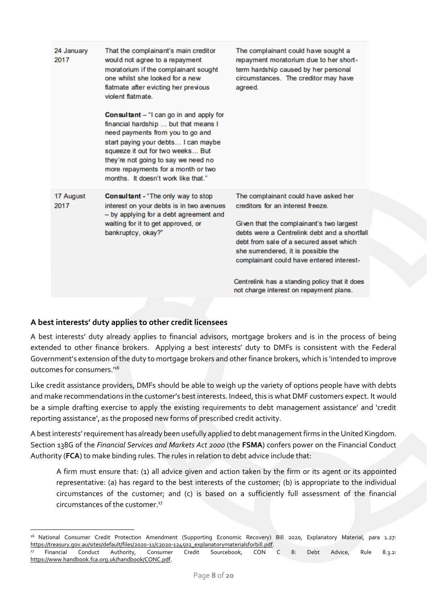| 24 January<br>2017 | That the complainant's main creditor<br>would not agree to a repayment<br>moratorium if the complainant sought<br>one whilst she looked for a new<br>flatmate after evicting her previous<br>violent flatmate.<br>Consultant - "I can go in and apply for<br>financial hardship  but that means I<br>need payments from you to go and<br>start paying your debts I can maybe<br>squeeze it out for two weeks But<br>they're not going to say we need no<br>more repayments for a month or two<br>months. It doesn't work like that." | The complainant could have sought a<br>repayment moratorium due to her short-<br>term hardship caused by her personal<br>circumstances. The creditor may have<br>agreed.                                                                                                                                                                                                                        |
|--------------------|--------------------------------------------------------------------------------------------------------------------------------------------------------------------------------------------------------------------------------------------------------------------------------------------------------------------------------------------------------------------------------------------------------------------------------------------------------------------------------------------------------------------------------------|-------------------------------------------------------------------------------------------------------------------------------------------------------------------------------------------------------------------------------------------------------------------------------------------------------------------------------------------------------------------------------------------------|
| 17 August<br>2017  | <b>Consultant</b> - "The only way to stop<br>interest on your debts is in two avenues<br>- by applying for a debt agreement and<br>waiting for it to get approved, or<br>bankruptcy, okay?"                                                                                                                                                                                                                                                                                                                                          | The complainant could have asked her<br>creditors for an interest freeze.<br>Given that the complainant's two largest<br>debts were a Centrelink debt and a shortfall<br>debt from sale of a secured asset which<br>she surrendered, it is possible the<br>complainant could have entered interest-<br>Centrelink has a standing policy that it does<br>not charge interest on repayment plans. |

### **A best interests' duty applies to other credit licensees**

A best interests' duty already applies to financial advisors, mortgage brokers and is in the process of being extended to other finance brokers. Applying a best interests' duty to DMFs is consistent with the Federal Government's extension of the duty to mortgage brokers and other finance brokers, which is 'intended to improve outcomes for consumers.'<sup>16</sup>

Like credit assistance providers, DMFs should be able to weigh up the variety of options people have with debts and make recommendations in the customer's best interests. Indeed, this is what DMF customers expect. It would be a simple drafting exercise to apply the existing requirements to debt management assistance' and 'credit reporting assistance', as the proposed new forms of prescribed credit activity.

A best interests' requirement has already been usefully applied to debt management firms in the United Kingdom. Section 138G of the *Financial Services and Markets Act 2000* (the **FSMA**) confers power on the Financial Conduct Authority (**FCA**) to make binding rules. The rules in relation to debt advice include that:

A firm must ensure that: (1) all advice given and action taken by the firm or its agent or its appointed representative: (a) has regard to the best interests of the customer; (b) is appropriate to the individual circumstances of the customer; and (c) is based on a sufficiently full assessment of the financial circumstances of the customer.<sup>17</sup>

<sup>16</sup> National Consumer Credit Protection Amendment (Supporting Economic Recovery) Bill 2020, Explanatory Material, para 1.27: [https://treasury.gov.au/sites/default/files/2020-11/c2020-124502\\_explanatorymaterialsforbill.pdf.](https://treasury.gov.au/sites/default/files/2020-11/c2020-124502_explanatorymaterialsforbill.pdf)<br><sup>17</sup> Financial Conduct Authority, Consumer Credit Sourcebook, CON

<sup>&</sup>lt;sup>17</sup> Financial Conduct Authority, Consumer Credit Sourcebook, CON C 8: Debt Advice, Rule 8.3.2: [https://www.handbook.fca.org.uk/handbook/CONC.pdf.](https://www.handbook.fca.org.uk/handbook/CONC.pdf)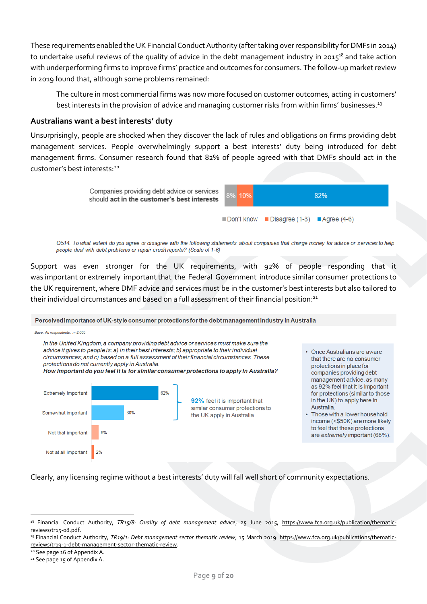These requirements enabled theUK Financial Conduct Authority (after taking over responsibility for DMFs in 2014) to undertake useful reviews of the quality of advice in the debt management industry in 2015<sup>18</sup> and take action with underperforming firms to improve firms' practice and outcomes for consumers. The follow-up market review in 2019 found that, although some problems remained:

The culture in most commercial firms was now more focused on customer outcomes, acting in customers' best interests in the provision of advice and managing customer risks from within firms' businesses.<sup>19</sup>

### **Australians want a best interests' duty**

Unsurprisingly, people are shocked when they discover the lack of rules and obligations on firms providing debt management services. People overwhelmingly support a best interests' duty being introduced for debt management firms. Consumer research found that 82% of people agreed with that DMFs should act in the customer's best interests: 20



Q514. To what extent do you agree or disagree with the following statements about companies that charge money for advice or services to help people deal with debt problems or repair credit reports? (Scale of 1-6)

Support was even stronger for the UK requirements, with 92% of people responding that it was important or extremely important that the Federal Government introduce similar consumer protections to the UK requirement, where DMF advice and services must be in the customer's best interests but also tailored to their individual circumstances and based on a full assessment of their financial position: $^{21}$ 

Perceived importance of UK-style consumer protections for the debt management industry in Australia

Base: All respondents, n=2.005

In the United Kingdom, a company providing debt advice or services must make sure the advice it gives to people is: a) in their best interests; b) appropriate to their individual circumstances; and c) based on a full assessment of their financial circumstances. These protections do not currently apply in Australia. How important do you feel it is for similar consumer protections to apply in Australia?



- Once Australians are aware that there are no consumer protections in place for companies providing debt management advice, as many as 92% feel that it is important for protections (similar to those in the UK) to apply here in Australia.
- Those with a lower household income (<\$50K) are more likely to feel that these protections are extremely important (68%).

Clearly, any licensing regime without a best interests' duty will fall well short of community expectations.

<sup>&</sup>lt;sup>18</sup> Financial Conduct Authority, *TR15/8: Quality of debt management advice*, 25 June 2015, [https://www.fca.org.uk/publication/thematic](https://www.fca.org.uk/publication/thematic-reviews/tr15-08.pdf)[reviews/tr15-08.pdf.](https://www.fca.org.uk/publication/thematic-reviews/tr15-08.pdf)

<sup>19</sup> Financial Conduct Authority, *TR19/1: Debt management sector thematic review*, 15 March 2019: [https://www.fca.org.uk/publications/thematic](https://www.fca.org.uk/publications/thematic-reviews/tr19-1-debt-management-sector-thematic-review)[reviews/tr19-1-debt-management-sector-thematic-review.](https://www.fca.org.uk/publications/thematic-reviews/tr19-1-debt-management-sector-thematic-review)

<sup>&</sup>lt;sup>20</sup> See page 16 of Appendix A.

<sup>21</sup> See page 15 of Appendix A.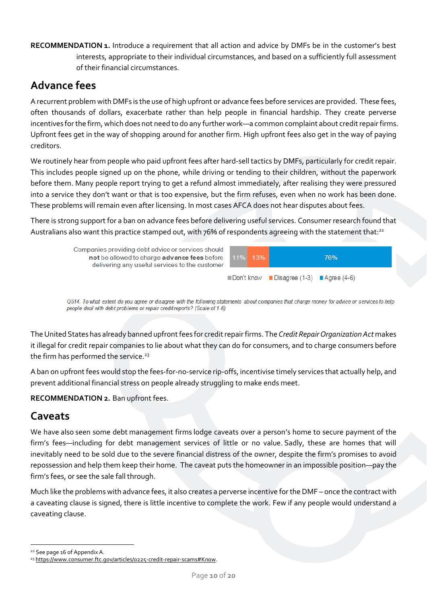<span id="page-9-0"></span>**RECOMMENDATION 1.** Introduce a requirement that all action and advice by DMFs be in the customer's best interests, appropriate to their individual circumstances, and based on a sufficiently full assessment of their financial circumstances.

# **Advance fees**

A recurrent problem with DMFs is the use of high upfront or advance fees before services are provided. These fees, often thousands of dollars, exacerbate rather than help people in financial hardship. They create perverse incentives for the firm, which does not need to do any further work—a common complaint about credit repair firms. Upfront fees get in the way of shopping around for another firm. High upfront fees also get in the way of paying creditors.

We routinely hear from people who paid upfront fees after hard-sell tactics by DMFs, particularly for credit repair. This includes people signed up on the phone, while driving or tending to their children, without the paperwork before them. Many people report trying to get a refund almost immediately, after realising they were pressured into a service they don't want or that is too expensive, but the firm refuses, even when no work has been done. These problems will remain even after licensing. In most cases AFCA does not hear disputes about fees.

There is strong support for a ban on advance fees before delivering useful services. Consumer research found that Australians also want this practice stamped out, with 76% of respondents agreeing with the statement that:<sup>22</sup>



Q514. To what extent do you agree or disagree with the following statements about companies that charge money for advice or services to help people deal with debt problems or repair credit reports? (Scale of 1-6)

The United States has already banned upfront fees for credit repair firms. The *Credit Repair Organization Act* makes it illegal for credit repair companies to lie about what they can do for consumers, and to charge consumers before the firm has performed the service.<sup>23</sup>

A ban on upfront fees would stop the fees-for-no-service rip-offs, incentivise timely services that actually help, and prevent additional financial stress on people already struggling to make ends meet.

<span id="page-9-1"></span>**RECOMMENDATION 2.** Ban upfront fees.

# **Caveats**

We have also seen some debt management firms lodge caveats over a person's home to secure payment of the firm's fees—including for debt management services of little or no value. Sadly, these are homes that will inevitably need to be sold due to the severe financial distress of the owner, despite the firm's promises to avoid repossession and help them keep their home.  The caveat puts the homeowner in an impossible position—pay the firm's fees, or see the sale fall through.

Much like the problems with advance fees, it also creates a perverse incentive for the DMF – once the contract with a caveating clause is signed, there is little incentive to complete the work. Few if any people would understand a caveating clause.

<sup>22</sup> See page 16 of Appendix A.

<sup>23</sup> [https://www.consumer.ftc.gov/articles/0225-credit-repair-scams#Know.](https://www.consumer.ftc.gov/articles/0225-credit-repair-scams#Know)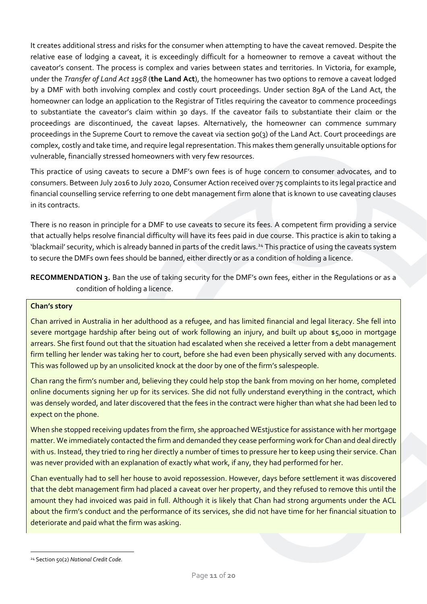It creates additional stress and risks for the consumer when attempting to have the caveat removed. Despite the relative ease of lodging a caveat, it is exceedingly difficult for a homeowner to remove a caveat without the caveator's consent. The process is complex and varies between states and territories. In Victoria, for example, under the *Transfer of Land Act 1958* (**the Land Act**), the homeowner has two options to remove a caveat lodged by a DMF with both involving complex and costly court proceedings. Under section 89A of the Land Act, the homeowner can lodge an application to the Registrar of Titles requiring the caveator to commence proceedings to substantiate the caveator's claim within 30 days. If the caveator fails to substantiate their claim or the proceedings are discontinued, the caveat lapses. Alternatively, the homeowner can commence summary proceedings in the Supreme Court to remove the caveat via section 90(3) of the Land Act. Court proceedings are complex, costly and take time, and require legal representation. This makes them generally unsuitable options for vulnerable, financially stressed homeowners with very few resources.

This practice of using caveats to secure a DMF's own fees is of huge concern to consumer advocates, and to consumers. Between July 2016 to July 2020, Consumer Action received over 75 complaints to its legal practice and financial counselling service referring to one debt management firm alone that is known to use caveating clauses in its contracts.

There is no reason in principle for a DMF to use caveats to secure its fees. A competent firm providing a service that actually helps resolve financial difficulty will have its fees paid in due course. This practice is akin to taking a 'blackmail' security, which is already banned in parts of the credit laws. <sup>24</sup> This practice of using the caveats system to secure the DMFs own fees should be banned, either directly or as a condition of holding a licence.

<span id="page-10-0"></span>**RECOMMENDATION 3.** Ban the use of taking security for the DMF's own fees, either in the Regulations or as a condition of holding a licence.

#### **Chan's story**

Chan arrived in Australia in her adulthood as a refugee, and has limited financial and legal literacy. She fell into severe mortgage hardship after being out of work following an injury, and built up about \$5,000 in mortgage arrears. She first found out that the situation had escalated when she received a letter from a debt management firm telling her lender was taking her to court, before she had even been physically served with any documents. This was followed up by an unsolicited knock at the door by one of the firm's salespeople.

Chan rang the firm's number and, believing they could help stop the bank from moving on her home, completed online documents signing her up for its services. She did not fully understand everything in the contract, which was densely worded, and later discovered that the fees in the contract were higher than what she had been led to expect on the phone.

When she stopped receiving updates from the firm, she approached WEstjustice for assistance with her mortgage matter. We immediately contacted the firm and demanded they cease performing work for Chan and deal directly with us. Instead, they tried to ring her directly a number of times to pressure her to keep using their service. Chan was never provided with an explanation of exactly what work, if any, they had performed for her.

Chan eventually had to sell her house to avoid repossession. However, days before settlement it was discovered that the debt management firm had placed a caveat over her property, and they refused to remove this until the amount they had invoiced was paid in full. Although it is likely that Chan had strong arguments under the ACL about the firm's conduct and the performance of its services, she did not have time for her financial situation to deteriorate and paid what the firm was asking.

<sup>24</sup> Section 50(2) *National Credit Code*.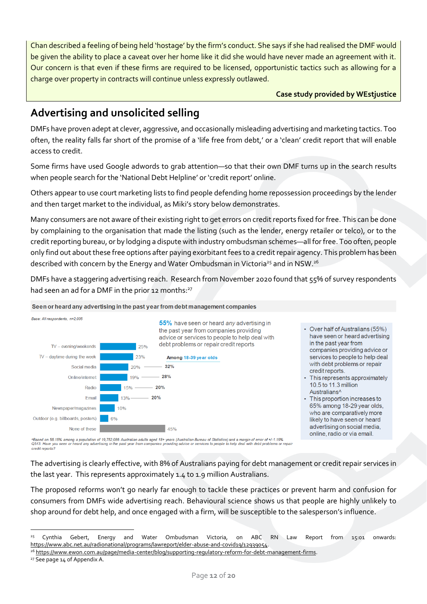Chan described a feeling of being held 'hostage' by the firm's conduct. She says if she had realised the DMF would be given the ability to place a caveat over her home like it did she would have never made an agreement with it. Our concern is that even if these firms are required to be licensed, opportunistic tactics such as allowing for a charge over property in contracts will continue unless expressly outlawed.

**Case study provided by WEstjustice**

# **Advertising and unsolicited selling**

DMFs have proven adept at clever, aggressive, and occasionally misleading advertising and marketing tactics. Too often, the reality falls far short of the promise of a 'life free from debt,' or a 'clean' credit report that will enable access to credit.

Some firms have used Google adwords to grab attention—so that their own DMF turns up in the search results when people search for the 'National Debt Helpline' or 'credit report' online.

Others appear to use court marketing lists to find people defending home repossession proceedings by the lender and then target market to the individual, as Miki's story below demonstrates.

Many consumers are not aware of their existing right to get errors on credit reports fixed for free. This can be done by complaining to the organisation that made the listing (such as the lender, energy retailer or telco), or to the credit reporting bureau, or by lodging a dispute with industry ombudsman schemes—all for free. Too often, people only find out about these free options after paying exorbitant fees to a credit repair agency. This problem has been described with concern by the Energy and Water Ombudsman in Victoria<sup>25</sup> and in NSW.<sup>26</sup>

DMFs have a staggering advertising reach. Research from November 2020 found that 55% of survey respondents had seen an ad for a DMF in the prior 12 months:<sup>27</sup>

Seen or heard any advertising in the past year from debt management companies



^Based on 55.15% among a population of 19,752,086 Australian adults aged 18+ years (Australian Bureau of Statistics) and a margin of error of +/-1.19%<br>Q513. Have you seen or heard any advertising in the past year from comp credit reports?

The advertising is clearly effective, with 8% of Australians paying for debt management or credit repair services in the last year. This represents approximately 1.4 to 1.9 million Australians.

The proposed reforms won't go nearly far enough to tackle these practices or prevent harm and confusion for consumers from DMFs wide advertising reach. Behavioural science shows us that people are highly unlikely to shop around for debt help, and once engaged with a firm, will be susceptible to the salesperson's influence.

<sup>&</sup>lt;sup>25</sup> Cynthia Gebert, Energy and Water Ombudsman Victoria, on ABC RN Law Report from 15:01 onwards: [https://www.abc.net.au/radionational/programs/lawreport/elder-abuse-and-covid19/12939054.](https://www.abc.net.au/radionational/programs/lawreport/elder-abuse-and-covid19/12939054)

<sup>26</sup> [https://www.ewon.com.au/page/media-center/blog/supporting-regulatory-reform-for-debt-management-firms.](https://www.ewon.com.au/page/media-center/blog/supporting-regulatory-reform-for-debt-management-firms)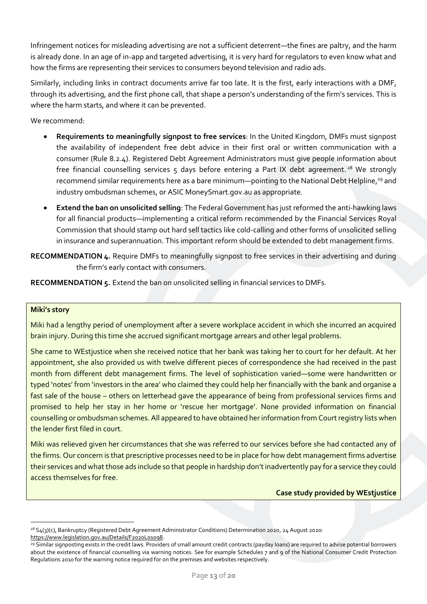Infringement notices for misleading advertising are not a sufficient deterrent—the fines are paltry, and the harm is already done. In an age of in-app and targeted advertising, it is very hard for regulators to even know what and how the firms are representing their services to consumers beyond television and radio ads.

Similarly, including links in contract documents arrive far too late. It is the first, early interactions with a DMF, through its advertising, and the first phone call, that shape a person's understanding of the firm's services. This is where the harm starts, and where it can be prevented.

We recommend:

- **Requirements to meaningfully signpost to free services**: In the United Kingdom, DMFs must signpost the availability of independent free debt advice in their first oral or written communication with a consumer (Rule 8.2.4). Registered Debt Agreement Administrators must give people information about free financial counselling services  $5$  days before entering a Part IX debt agreement.<sup>28</sup> We strongly recommend similar requirements here as a bare minimum—pointing to the National Debt Helpline,<sup>29</sup> and industry ombudsman schemes, or ASIC MoneySmart.gov.au as appropriate.
- **Extend the ban on unsolicited selling**: The Federal Government has just reformed the anti-hawking laws for all financial products—implementing a critical reform recommended by the Financial Services Royal Commission that should stamp out hard sell tactics like cold-calling and other forms of unsolicited selling in insurance and superannuation. This important reform should be extended to debt management firms.
- <span id="page-12-0"></span>**RECOMMENDATION 4.** Require DMFs to meaningfully signpost to free services in their advertising and during the firm's early contact with consumers.

<span id="page-12-1"></span>**RECOMMENDATION 5.** Extend the ban on unsolicited selling in financial services to DMFs.

#### **Miki's story**

Miki had a lengthy period of unemployment after a severe workplace accident in which she incurred an acquired brain injury. During this time she accrued significant mortgage arrears and other legal problems.

She came to WEstjustice when she received notice that her bank was taking her to court for her default. At her appointment, she also provided us with twelve different pieces of correspondence she had received in the past month from different debt management firms. The level of sophistication varied—some were handwritten or typed 'notes' from 'investors in the area' who claimed they could help her financially with the bank and organise a fast sale of the house – others on letterhead gave the appearance of being from professional services firms and promised to help her stay in her home or 'rescue her mortgage'. None provided information on financial counselling or ombudsman schemes. All appeared to have obtained her information from Court registry lists when the lender first filed in court.

Miki was relieved given her circumstances that she was referred to our services before she had contacted any of the firms. Our concern is that prescriptive processes need to be in place for how debt management firms advertise their services and what those ads include so that people in hardship don't inadvertently pay for a service they could access themselves for free.

**Case study provided by WEstjustice**

<sup>&</sup>lt;sup>28</sup> S4(3)(c), Bankruptcy (Registered Debt Agreement Administrator Conditions) Determination 2020, 24 August 2020: [https://www.legislation.gov.au/Details/F2020L01098.](https://www.legislation.gov.au/Details/F2020L01098)

<sup>29</sup> Similar signposting exists in the credit laws. Providers of small amount credit contracts (payday loans) are required to advise potential borrowers about the existence of financial counselling via warning notices. See for example Schedules 7 and 9 of the National Consumer Credit Protection Regulations 2010 for the warning notice required for on the premises and websites respectively.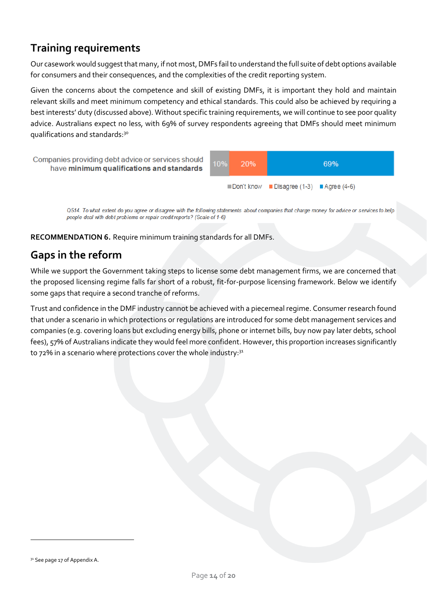# **Training requirements**

Our casework would suggest that many, if not most, DMFs fail to understand the full suite of debt options available for consumers and their consequences, and the complexities of the credit reporting system.

Given the concerns about the competence and skill of existing DMFs, it is important they hold and maintain relevant skills and meet minimum competency and ethical standards. This could also be achieved by requiring a best interests' duty (discussed above). Without specific training requirements, we will continue to see poor quality advice. Australians expect no less, with 69% of survey respondents agreeing that DMFs should meet minimum qualifications and standards:<sup>30</sup>



Q514. To what extent do you agree or disagree with the following statements about companies that charge money for advice or services to help people deal with debt problems or repair credit reports? (Scale of 1-6)

<span id="page-13-0"></span>**RECOMMENDATION 6.** Require minimum training standards for all DMFs.

## **Gaps in the reform**

While we support the Government taking steps to license some debt management firms, we are concerned that the proposed licensing regime falls far short of a robust, fit-for-purpose licensing framework. Below we identify some gaps that require a second tranche of reforms.

Trust and confidence in the DMF industry cannot be achieved with a piecemeal regime. Consumer research found that under a scenario in which protections or regulations are introduced for some debt management services and companies (e.g. covering loans but excluding energy bills, phone or internet bills, buy now pay later debts, school fees), 57% of Australians indicate they would feel more confident. However, this proportion increases significantly to 72% in a scenario where protections cover the whole industry: $^{31}$ 

<sup>&</sup>lt;sup>31</sup> See page 17 of Appendix A.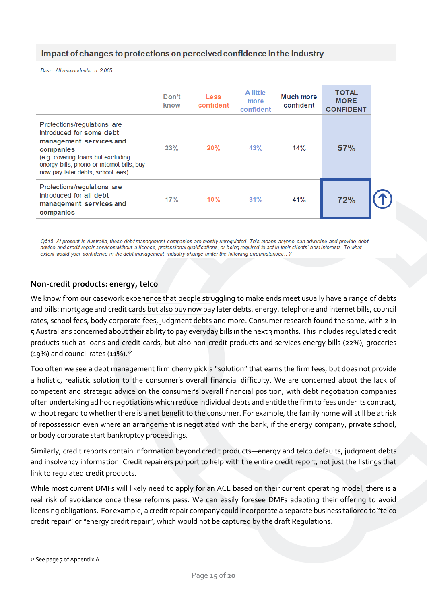### Impact of changes to protections on perceived confidence in the industry

Base: All respondents, n=2,005

|                                                                                                                                                                                                                          | Don't<br>know | <b>Less</b><br>confident | A little<br>more<br>confident | Much more<br>confident | <b>TOTAL</b><br><b>MORE</b><br><b>CONFIDENT</b> |  |
|--------------------------------------------------------------------------------------------------------------------------------------------------------------------------------------------------------------------------|---------------|--------------------------|-------------------------------|------------------------|-------------------------------------------------|--|
| Protections/regulations are<br>introduced for some debt<br>management services and<br>companies<br>(e.g. covering loans but excluding<br>energy bills, phone or internet bills, buy<br>now pay later debts, school fees) | 23%           | 20%                      | 43%                           | 14%                    | 57%                                             |  |
| Protections/regulations are<br>introduced for all debt<br>management services and<br>companies                                                                                                                           | 17%           | 10%                      | 31%                           | 41%                    | 72%                                             |  |

Q515. At present in Australia, these debt management companies are mostly unregulated. This means anyone can advertise and provide debt advice and credit repair services without a licence, professional qualifications, or being required to act in their clients' best interests. To what extent would your confidence in the debt management industry change under the following circumstances...?

### **Non-credit products: energy, telco**

We know from our casework experience that people struggling to make ends meet usually have a range of debts and bills: mortgage and credit cards but also buy now pay later debts, energy, telephone and internet bills, council rates, school fees, body corporate fees, judgment debts and more. Consumer research found the same, with 2 in 5 Australians concerned about their ability to pay everyday bills in the next 3 months. This includes regulated credit products such as loans and credit cards, but also non-credit products and services energy bills (22%), groceries  $(19%)$  and council rates  $(11%)$ .<sup>32</sup>

Too often we see a debt management firm cherry pick a "solution" that earns the firm fees, but does not provide a holistic, realistic solution to the consumer's overall financial difficulty. We are concerned about the lack of competent and strategic advice on the consumer's overall financial position, with debt negotiation companies often undertaking ad hoc negotiations which reduce individual debts and entitle the firm to fees under its contract, without regard to whether there is a net benefit to the consumer. For example, the family home will still be at risk of repossession even where an arrangement is negotiated with the bank, if the energy company, private school, or body corporate start bankruptcy proceedings.

Similarly, credit reports contain information beyond credit products—energy and telco defaults, judgment debts and insolvency information. Credit repairers purport to help with the entire credit report, not just the listings that link to regulated credit products.

While most current DMFs will likely need to apply for an ACL based on their current operating model, there is a real risk of avoidance once these reforms pass. We can easily foresee DMFs adapting their offering to avoid licensing obligations. For example, a credit repair company could incorporate a separate business tailored to "telco credit repair" or "energy credit repair", which would not be captured by the draft Regulations.

<sup>&</sup>lt;sup>32</sup> See page 7 of Appendix A.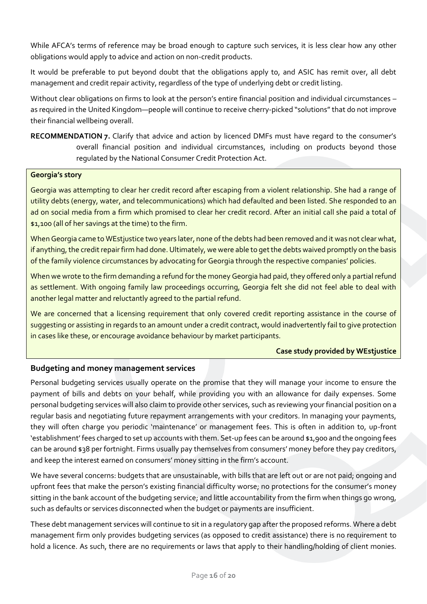While AFCA's terms of reference may be broad enough to capture such services, it is less clear how any other obligations would apply to advice and action on non-credit products.

It would be preferable to put beyond doubt that the obligations apply to, and ASIC has remit over, all debt management and credit repair activity, regardless of the type of underlying debt or credit listing.

Without clear obligations on firms to look at the person's entire financial position and individual circumstances – as required in the United Kingdom—people will continue to receive cherry-picked "solutions"that do not improve their financial wellbeing overall.

<span id="page-15-0"></span>**RECOMMENDATION 7.** Clarify that advice and action by licenced DMFs must have regard to the consumer's overall financial position and individual circumstances, including on products beyond those regulated by the National Consumer Credit Protection Act.

#### **Georgia's story**

Georgia was attempting to clear her credit record after escaping from a violent relationship. She had a range of utility debts (energy, water, and telecommunications) which had defaulted and been listed. She responded to an ad on social media from a firm which promised to clear her credit record. After an initial call she paid a total of \$1,100 (all of her savings at the time) to the firm.

When Georgia came to WEstjustice two years later, none of the debts had been removed and it was not clear what, if anything, the credit repair firm had done. Ultimately, we were able to get the debts waived promptly on the basis of the family violence circumstances by advocating for Georgia through the respective companies' policies.

When we wrote to the firm demanding a refund for the money Georgia had paid, they offered only a partial refund as settlement. With ongoing family law proceedings occurring, Georgia felt she did not feel able to deal with another legal matter and reluctantly agreed to the partial refund.

We are concerned that a licensing requirement that only covered credit reporting assistance in the course of suggesting or assisting in regards to an amount under a credit contract, would inadvertently fail to give protection in cases like these, or encourage avoidance behaviour by market participants.

#### **Case study provided by WEstjustice**

### **Budgeting and money management services**

Personal budgeting services usually operate on the promise that they will manage your income to ensure the payment of bills and debts on your behalf, while providing you with an allowance for daily expenses. Some personal budgeting services will also claim to provide other services, such as reviewing your financial position on a regular basis and negotiating future repayment arrangements with your creditors. In managing your payments, they will often charge you periodic 'maintenance' or management fees. This is often in addition to, up-front 'establishment' fees charged to set up accounts with them. Set-up fees can be around \$1,900 and the ongoing fees can be around \$38 per fortnight. Firms usually pay themselves from consumers' money before they pay creditors, and keep the interest earned on consumers' money sitting in the firm's account.

We have several concerns: budgets that are unsustainable, with bills that are left out or are not paid; ongoing and upfront fees that make the person's existing financial difficulty worse; no protections for the consumer's money sitting in the bank account of the budgeting service; and little accountability from the firm when things go wrong, such as defaults or services disconnected when the budget or payments are insufficient.

These debt management services will continue to sit in a regulatory gap after the proposed reforms. Where a debt management firm only provides budgeting services (as opposed to credit assistance) there is no requirement to hold a licence. As such, there are no requirements or laws that apply to their handling/holding of client monies.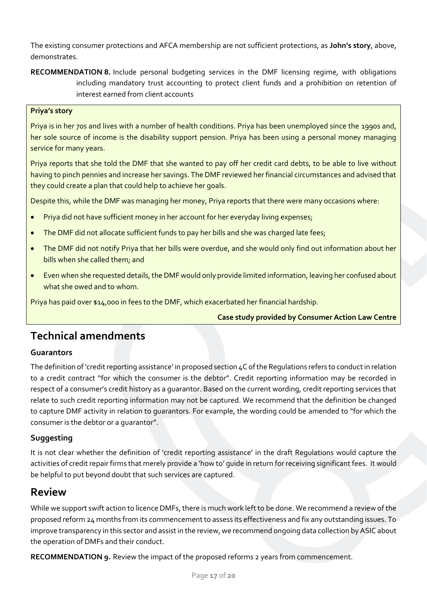The existing consumer protections and AFCA membership are not sufficient protections, as **John's story**, above, demonstrates.

<span id="page-16-0"></span>**RECOMMENDATION 8.** Include personal budgeting services in the DMF licensing regime, with obligations including mandatory trust accounting to protect client funds and a prohibition on retention of interest earned from client accounts

#### **Priya's story**

Priya is in her 70s and lives with a number of health conditions. Priya has been unemployed since the 1990s and, her sole source of income is the disability support pension. Priya has been using a personal money managing service for many years.

Priya reports that she told the DMF that she wanted to pay off her credit card debts, to be able to live without having to pinch pennies and increase her savings. The DMF reviewed her financial circumstances and advised that they could create a plan that could help to achieve her goals.

Despite this, while the DMF was managing her money, Priya reports that there were many occasions where:

- Priya did not have sufficient money in her account for her everyday living expenses;
- The DMF did not allocate sufficient funds to pay her bills and she was charged late fees;
- The DMF did not notify Priya that her bills were overdue, and she would only find out information about her bills when she called them; and
- Even when she requested details, the DMF would only provide limited information, leaving her confused about what she owed and to whom.

Priya has paid over \$14,000 in fees to the DMF, which exacerbated her financial hardship.

**Case study provided by Consumer Action Law Centre**

### **Technical amendments**

### **Guarantors**

The definition of 'credit reporting assistance' in proposed section 4C of the Regulations refers to conduct in relation to a credit contract "for which the consumer is the debtor". Credit reporting information may be recorded in respect of a consumer's credit history as a guarantor. Based on the current wording, credit reporting services that relate to such credit reporting information may not be captured. We recommend that the definition be changed to capture DMF activity in relation to guarantors. For example, the wording could be amended to "for which the consumer is the debtor or a guarantor".

### **Suggesting**

It is not clear whether the definition of 'credit reporting assistance' in the draft Regulations would capture the activities of credit repair firms that merely provide a 'how to' guide in return for receiving significant fees. It would be helpful to put beyond doubt that such services are captured.

### **Review**

While we support swift action to licence DMFs, there is much work left to be done. We recommend a review of the proposed reform 24 months from its commencement to assess its effectiveness and fix any outstanding issues. To improve transparency in this sector and assist in the review, we recommend ongoing data collection by ASIC about the operation of DMFs and their conduct.

<span id="page-16-1"></span>**RECOMMENDATION 9.** Review the impact of the proposed reforms 2 years from commencement.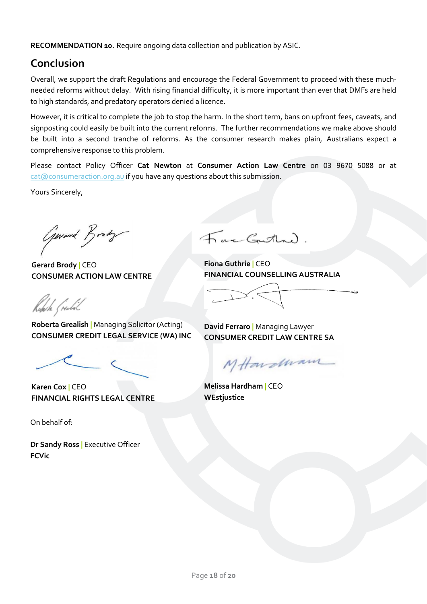<span id="page-17-0"></span>**RECOMMENDATION 10.** Require ongoing data collection and publication by ASIC.

# **Conclusion**

Overall, we support the draft Regulations and encourage the Federal Government to proceed with these muchneeded reforms without delay. With rising financial difficulty, it is more important than ever that DMFs are held to high standards, and predatory operators denied a licence.

However, it is critical to complete the job to stop the harm. In the short term, bans on upfront fees, caveats, and signposting could easily be built into the current reforms. The further recommendations we make above should be built into a second tranche of reforms. As the consumer research makes plain, Australians expect a comprehensive response to this problem.

Please contact Policy Officer **Cat Newton** at **Consumer Action Law Centre** on 03 9670 5088 or at [cat@consumeraction.org.au](mailto:cat@consumeraction.org.au) if you have any questions about this submission.

Yours Sincerely,

General Brody

**Gerard Brody |** CEO **CONSUMER ACTION LAW CENTRE**

Fac Gathand.

**Fiona Guthrie |** CEO **FINANCIAL COUNSELLING AUSTRALIA**

Roberta (realad

**Roberta Grealish |** Managing Solicitor (Acting) **CONSUMER CREDIT LEGAL SERVICE (WA) INC**

**Karen Cox |** CEO **FINANCIAL RIGHTS LEGAL CENTRE**

On behalf of:

**Dr Sandy Ross |** Executive Officer **FCVic**

**David Ferraro |** Managing Lawyer **CONSUMER CREDIT LAW CENTRE SA**

MHardwam

**Melissa Hardham |** CEO **WEstjustice**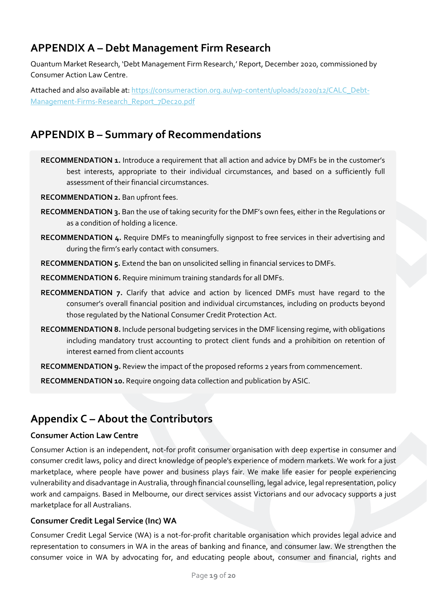# **APPENDIX A – Debt Management Firm Research**

Quantum Market Research, 'Debt Management Firm Research,' Report, December 2020, commissioned by Consumer Action Law Centre.

Attached and also available at[: https://consumeraction.org.au/wp-content/uploads/2020/12/CALC\\_Debt-](https://consumeraction.org.au/wp-content/uploads/2020/12/CALC_Debt-Management-Firms-Research_Report_7Dec20.pdf)[Management-Firms-Research\\_Report\\_7Dec20.pdf](https://consumeraction.org.au/wp-content/uploads/2020/12/CALC_Debt-Management-Firms-Research_Report_7Dec20.pdf)

# **APPENDIX B – Summary of Recommendations**

- **RECOMMENDATION 1.** [Introduce a requirement that all action and advice by DMFs be in the customer's](#page-9-0)  [best interests, appropriate to their individual circumstances, and based on a sufficiently full](#page-9-0)  [assessment of their financial circumstances.](#page-9-0)
- **[RECOMMENDATION 2.](#page-9-1)** Ban upfront fees.
- **RECOMMENDATION 3.** [Ban the use of taking security for the DMF's own fees, either in the Regulations or](#page-10-0)  [as a condition of holding a licence.](#page-10-0)
- **RECOMMENDATION 4.** [Require DMFs to meaningfully signpost to free services in their advertising and](#page-12-0)  [during the firm's early contact with consumers.](#page-12-0)

**RECOMMENDATION 5.** [Extend the ban on unsolicited selling in financial services to DMFs.](#page-12-1)

- **RECOMMENDATION 6.** [Require minimum training standards for all DMFs.](#page-13-0)
- **RECOMMENDATION 7.** [Clarify that advice and action by licenced DMFs must have regard to the](#page-15-0)  consumer's overall financial position and ind[ividual circumstances, including on products beyond](#page-15-0)  [those regulated by the National Consumer Credit Protection Act.](#page-15-0)
- **RECOMMENDATION 8.** [Include personal budgeting services in the DMF licensing regime, with obligations](#page-16-0)  [including mandatory trust accounting to protect client funds and a prohibition on retention of](#page-16-0)  [interest earned from client accounts](#page-16-0)
- **RECOMMENDATION 9.** [Review the impact of the proposed reforms 2 years from commencement.](#page-16-1)

**RECOMMENDATION 10.** [Require ongoing data collection and publication by ASIC.](#page-17-0)

# **Appendix C – About the Contributors**

#### **Consumer Action Law Centre**

Consumer Action is an independent, not-for profit consumer organisation with deep expertise in consumer and consumer credit laws, policy and direct knowledge of people's experience of modern markets. We work for a just marketplace, where people have power and business plays fair. We make life easier for people experiencing vulnerability and disadvantage in Australia, through financial counselling, legal advice, legal representation, policy work and campaigns. Based in Melbourne, our direct services assist Victorians and our advocacy supports a just marketplace for all Australians.

### **Consumer Credit Legal Service (Inc) WA**

Consumer Credit Legal Service (WA) is a not-for-profit charitable organisation which provides legal advice and representation to consumers in WA in the areas of banking and finance, and consumer law. We strengthen the consumer voice in WA by advocating for, and educating people about, consumer and financial, rights and